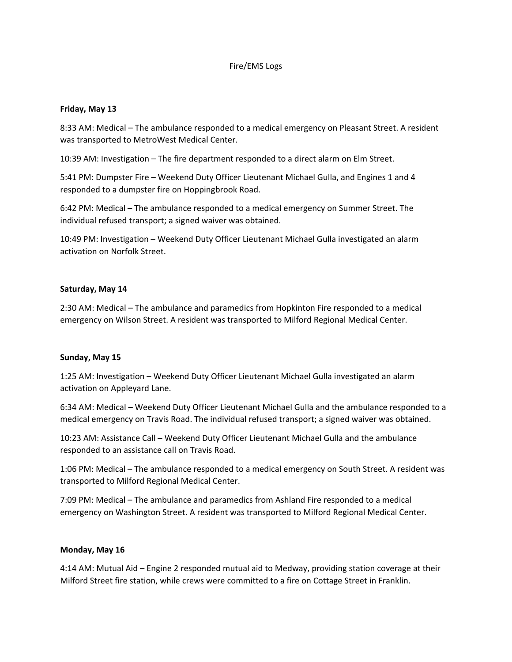## Fire/EMS Logs

## **Friday, May 13**

8:33 AM: Medical – The ambulance responded to a medical emergency on Pleasant Street. A resident was transported to MetroWest Medical Center.

10:39 AM: Investigation – The fire department responded to a direct alarm on Elm Street.

5:41 PM: Dumpster Fire – Weekend Duty Officer Lieutenant Michael Gulla, and Engines 1 and 4 responded to a dumpster fire on Hoppingbrook Road.

6:42 PM: Medical – The ambulance responded to a medical emergency on Summer Street. The individual refused transport; a signed waiver was obtained.

10:49 PM: Investigation – Weekend Duty Officer Lieutenant Michael Gulla investigated an alarm activation on Norfolk Street.

### **Saturday, May 14**

2:30 AM: Medical – The ambulance and paramedics from Hopkinton Fire responded to a medical emergency on Wilson Street. A resident was transported to Milford Regional Medical Center.

#### **Sunday, May 15**

1:25 AM: Investigation – Weekend Duty Officer Lieutenant Michael Gulla investigated an alarm activation on Appleyard Lane.

6:34 AM: Medical – Weekend Duty Officer Lieutenant Michael Gulla and the ambulance responded to a medical emergency on Travis Road. The individual refused transport; a signed waiver was obtained.

10:23 AM: Assistance Call – Weekend Duty Officer Lieutenant Michael Gulla and the ambulance responded to an assistance call on Travis Road.

1:06 PM: Medical – The ambulance responded to a medical emergency on South Street. A resident was transported to Milford Regional Medical Center.

7:09 PM: Medical – The ambulance and paramedics from Ashland Fire responded to a medical emergency on Washington Street. A resident was transported to Milford Regional Medical Center.

#### **Monday, May 16**

4:14 AM: Mutual Aid – Engine 2 responded mutual aid to Medway, providing station coverage at their Milford Street fire station, while crews were committed to a fire on Cottage Street in Franklin.